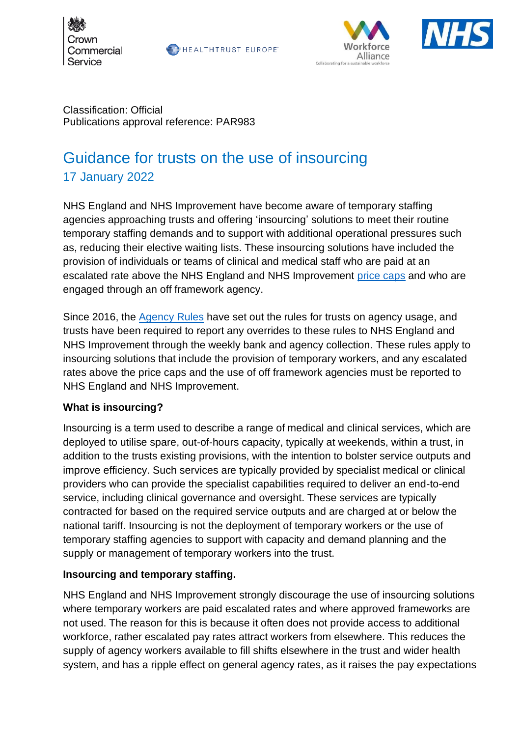

**BEALTHTRUST EUROPE** 





Classification: Official Publications approval reference: PAR983

# Guidance for trusts on the use of insourcing 17 January 2022

NHS England and NHS Improvement have become aware of temporary staffing agencies approaching trusts and offering 'insourcing' solutions to meet their routine temporary staffing demands and to support with additional operational pressures such as, reducing their elective waiting lists. These insourcing solutions have included the provision of individuals or teams of clinical and medical staff who are paid at an escalated rate above the NHS England and NHS Improvement [price caps](https://www.england.nhs.uk/wp-content/uploads/2020/08/price-card-2020-21-v1.1.xlsx) and who are engaged through an off framework agency.

Since 2016, the [Agency Rules](https://www.england.nhs.uk/wp-content/uploads/2020/08/Agency_rules_-_changes_for_2019.pdf) have set out the rules for trusts on agency usage, and trusts have been required to report any overrides to these rules to NHS England and NHS Improvement through the weekly bank and agency collection. These rules apply to insourcing solutions that include the provision of temporary workers, and any escalated rates above the price caps and the use of off framework agencies must be reported to NHS England and NHS Improvement.

### **What is insourcing?**

Insourcing is a term used to describe a range of medical and clinical services, which are deployed to utilise spare, out-of-hours capacity, typically at weekends, within a trust, in addition to the trusts existing provisions, with the intention to bolster service outputs and improve efficiency. Such services are typically provided by specialist medical or clinical providers who can provide the specialist capabilities required to deliver an end-to-end service, including clinical governance and oversight. These services are typically contracted for based on the required service outputs and are charged at or below the national tariff. Insourcing is not the deployment of temporary workers or the use of temporary staffing agencies to support with capacity and demand planning and the supply or management of temporary workers into the trust.

### **Insourcing and temporary staffing.**

NHS England and NHS Improvement strongly discourage the use of insourcing solutions where temporary workers are paid escalated rates and where approved frameworks are not used. The reason for this is because it often does not provide access to additional workforce, rather escalated pay rates attract workers from elsewhere. This reduces the supply of agency workers available to fill shifts elsewhere in the trust and wider health system, and has a ripple effect on general agency rates, as it raises the pay expectations